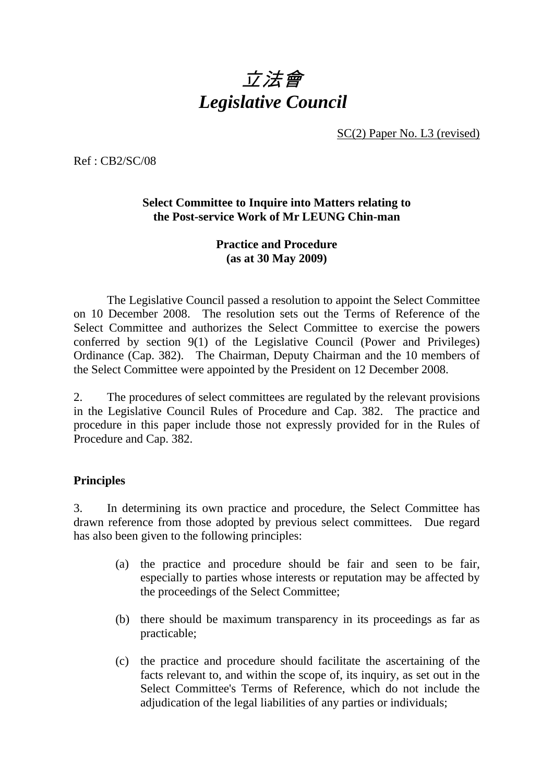# 立法會 *Legislative Council*

SC(2) Paper No. L3 (revised)

Ref : CB2/SC/08

#### **Select Committee to Inquire into Matters relating to the Post-service Work of Mr LEUNG Chin-man**

#### **Practice and Procedure (as at 30 May 2009)**

The Legislative Council passed a resolution to appoint the Select Committee on 10 December 2008. The resolution sets out the Terms of Reference of the Select Committee and authorizes the Select Committee to exercise the powers conferred by section 9(1) of the Legislative Council (Power and Privileges) Ordinance (Cap. 382). The Chairman, Deputy Chairman and the 10 members of the Select Committee were appointed by the President on 12 December 2008.

2. The procedures of select committees are regulated by the relevant provisions in the Legislative Council Rules of Procedure and Cap. 382. The practice and procedure in this paper include those not expressly provided for in the Rules of Procedure and Cap. 382.

#### **Principles**

3. In determining its own practice and procedure, the Select Committee has drawn reference from those adopted by previous select committees. Due regard has also been given to the following principles:

- (a) the practice and procedure should be fair and seen to be fair, especially to parties whose interests or reputation may be affected by the proceedings of the Select Committee;
- (b) there should be maximum transparency in its proceedings as far as practicable;
- (c) the practice and procedure should facilitate the ascertaining of the facts relevant to, and within the scope of, its inquiry, as set out in the Select Committee's Terms of Reference, which do not include the adjudication of the legal liabilities of any parties or individuals;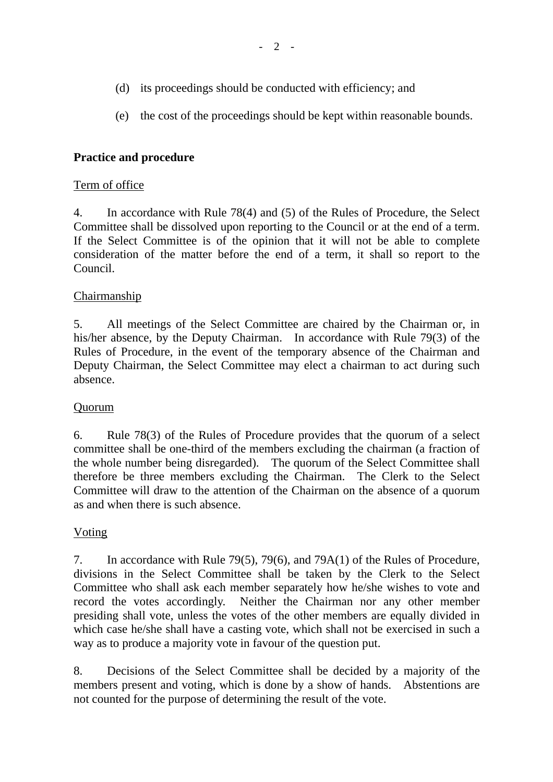- (d) its proceedings should be conducted with efficiency; and
- (e) the cost of the proceedings should be kept within reasonable bounds.

## **Practice and procedure**

#### Term of office

4. In accordance with Rule 78(4) and (5) of the Rules of Procedure, the Select Committee shall be dissolved upon reporting to the Council or at the end of a term. If the Select Committee is of the opinion that it will not be able to complete consideration of the matter before the end of a term, it shall so report to the Council.

#### Chairmanship

5. All meetings of the Select Committee are chaired by the Chairman or, in his/her absence, by the Deputy Chairman. In accordance with Rule 79(3) of the Rules of Procedure, in the event of the temporary absence of the Chairman and Deputy Chairman, the Select Committee may elect a chairman to act during such absence.

#### Quorum

6. Rule 78(3) of the Rules of Procedure provides that the quorum of a select committee shall be one-third of the members excluding the chairman (a fraction of the whole number being disregarded). The quorum of the Select Committee shall therefore be three members excluding the Chairman. The Clerk to the Select Committee will draw to the attention of the Chairman on the absence of a quorum as and when there is such absence.

#### Voting

7. In accordance with Rule 79(5), 79(6), and 79A(1) of the Rules of Procedure, divisions in the Select Committee shall be taken by the Clerk to the Select Committee who shall ask each member separately how he/she wishes to vote and record the votes accordingly. Neither the Chairman nor any other member presiding shall vote, unless the votes of the other members are equally divided in which case he/she shall have a casting vote, which shall not be exercised in such a way as to produce a majority vote in favour of the question put.

8. Decisions of the Select Committee shall be decided by a majority of the members present and voting, which is done by a show of hands. Abstentions are not counted for the purpose of determining the result of the vote.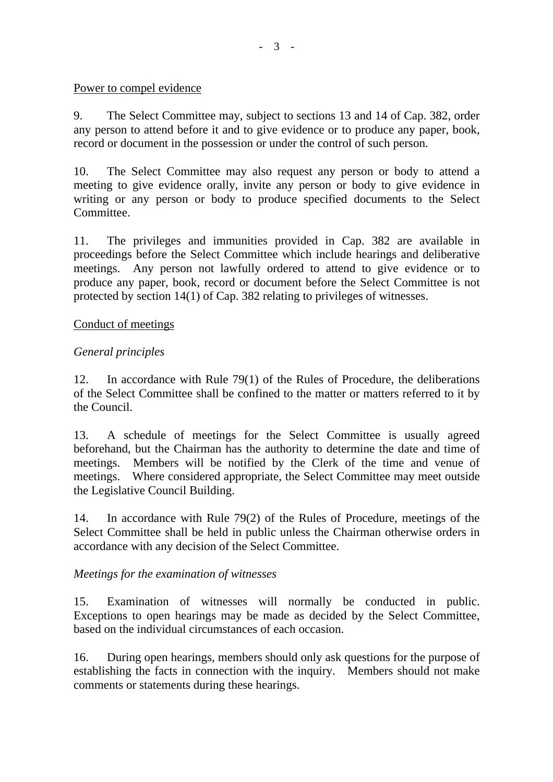#### Power to compel evidence

9. The Select Committee may, subject to sections 13 and 14 of Cap. 382, order any person to attend before it and to give evidence or to produce any paper, book, record or document in the possession or under the control of such person.

10. The Select Committee may also request any person or body to attend a meeting to give evidence orally, invite any person or body to give evidence in writing or any person or body to produce specified documents to the Select Committee.

11. The privileges and immunities provided in Cap. 382 are available in proceedings before the Select Committee which include hearings and deliberative meetings. Any person not lawfully ordered to attend to give evidence or to produce any paper, book, record or document before the Select Committee is not protected by section 14(1) of Cap. 382 relating to privileges of witnesses.

#### Conduct of meetings

## *General principles*

12. In accordance with Rule 79(1) of the Rules of Procedure, the deliberations of the Select Committee shall be confined to the matter or matters referred to it by the Council.

13. A schedule of meetings for the Select Committee is usually agreed beforehand, but the Chairman has the authority to determine the date and time of meetings. Members will be notified by the Clerk of the time and venue of meetings. Where considered appropriate, the Select Committee may meet outside the Legislative Council Building.

14. In accordance with Rule 79(2) of the Rules of Procedure, meetings of the Select Committee shall be held in public unless the Chairman otherwise orders in accordance with any decision of the Select Committee.

#### *Meetings for the examination of witnesses*

15. Examination of witnesses will normally be conducted in public. Exceptions to open hearings may be made as decided by the Select Committee, based on the individual circumstances of each occasion.

16. During open hearings, members should only ask questions for the purpose of establishing the facts in connection with the inquiry. Members should not make comments or statements during these hearings.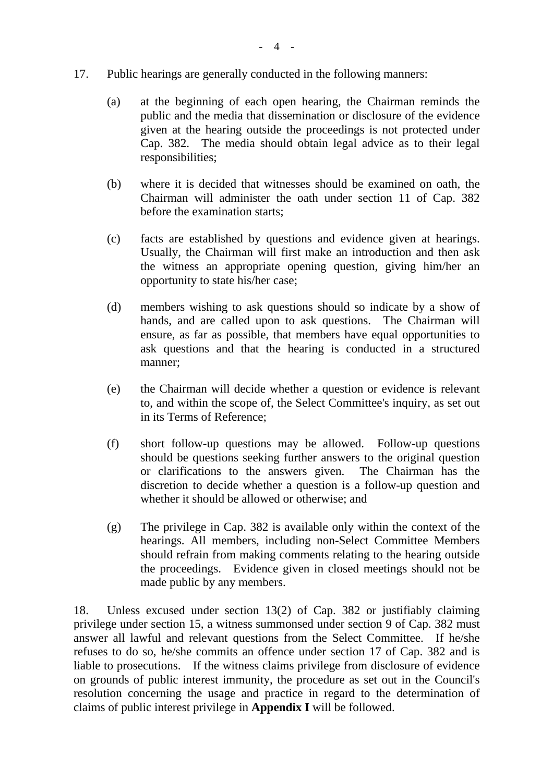#### 17. Public hearings are generally conducted in the following manners:

- (a) at the beginning of each open hearing, the Chairman reminds the public and the media that dissemination or disclosure of the evidence given at the hearing outside the proceedings is not protected under Cap. 382. The media should obtain legal advice as to their legal responsibilities;
- (b) where it is decided that witnesses should be examined on oath, the Chairman will administer the oath under section 11 of Cap. 382 before the examination starts;
- (c) facts are established by questions and evidence given at hearings. Usually, the Chairman will first make an introduction and then ask the witness an appropriate opening question, giving him/her an opportunity to state his/her case;
- (d) members wishing to ask questions should so indicate by a show of hands, and are called upon to ask questions. The Chairman will ensure, as far as possible, that members have equal opportunities to ask questions and that the hearing is conducted in a structured manner;
- (e) the Chairman will decide whether a question or evidence is relevant to, and within the scope of, the Select Committee's inquiry, as set out in its Terms of Reference;
- (f) short follow-up questions may be allowed. Follow-up questions should be questions seeking further answers to the original question or clarifications to the answers given. The Chairman has the discretion to decide whether a question is a follow-up question and whether it should be allowed or otherwise; and
- (g) The privilege in Cap. 382 is available only within the context of the hearings. All members, including non-Select Committee Members should refrain from making comments relating to the hearing outside the proceedings. Evidence given in closed meetings should not be made public by any members.

18. Unless excused under section 13(2) of Cap. 382 or justifiably claiming privilege under section 15, a witness summonsed under section 9 of Cap. 382 must answer all lawful and relevant questions from the Select Committee. If he/she refuses to do so, he/she commits an offence under section 17 of Cap. 382 and is liable to prosecutions. If the witness claims privilege from disclosure of evidence on grounds of public interest immunity, the procedure as set out in the Council's resolution concerning the usage and practice in regard to the determination of claims of public interest privilege in **Appendix I** will be followed.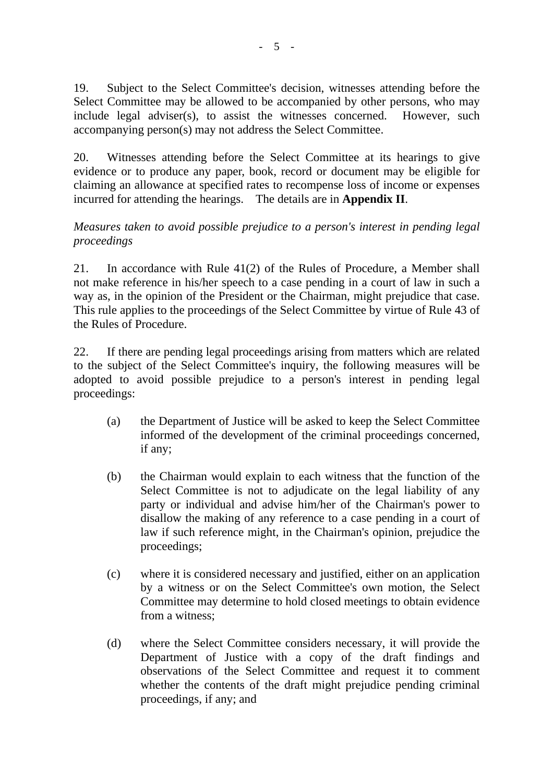19. Subject to the Select Committee's decision, witnesses attending before the Select Committee may be allowed to be accompanied by other persons, who may include legal adviser(s), to assist the witnesses concerned. However, such accompanying person(s) may not address the Select Committee.

20. Witnesses attending before the Select Committee at its hearings to give evidence or to produce any paper, book, record or document may be eligible for claiming an allowance at specified rates to recompense loss of income or expenses incurred for attending the hearings. The details are in **Appendix II**.

#### *Measures taken to avoid possible prejudice to a person's interest in pending legal proceedings*

21. In accordance with Rule 41(2) of the Rules of Procedure, a Member shall not make reference in his/her speech to a case pending in a court of law in such a way as, in the opinion of the President or the Chairman, might prejudice that case. This rule applies to the proceedings of the Select Committee by virtue of Rule 43 of the Rules of Procedure.

22. If there are pending legal proceedings arising from matters which are related to the subject of the Select Committee's inquiry, the following measures will be adopted to avoid possible prejudice to a person's interest in pending legal proceedings:

- (a) the Department of Justice will be asked to keep the Select Committee informed of the development of the criminal proceedings concerned, if any;
- (b) the Chairman would explain to each witness that the function of the Select Committee is not to adjudicate on the legal liability of any party or individual and advise him/her of the Chairman's power to disallow the making of any reference to a case pending in a court of law if such reference might, in the Chairman's opinion, prejudice the proceedings;
- (c) where it is considered necessary and justified, either on an application by a witness or on the Select Committee's own motion, the Select Committee may determine to hold closed meetings to obtain evidence from a witness;
- (d) where the Select Committee considers necessary, it will provide the Department of Justice with a copy of the draft findings and observations of the Select Committee and request it to comment whether the contents of the draft might prejudice pending criminal proceedings, if any; and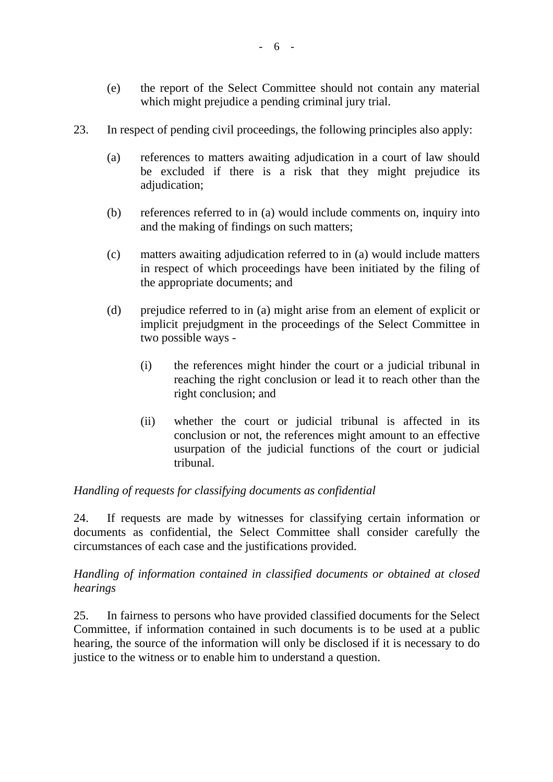- (e) the report of the Select Committee should not contain any material which might prejudice a pending criminal jury trial.
- 23. In respect of pending civil proceedings, the following principles also apply:
	- (a) references to matters awaiting adjudication in a court of law should be excluded if there is a risk that they might prejudice its adjudication;
	- (b) references referred to in (a) would include comments on, inquiry into and the making of findings on such matters;
	- (c) matters awaiting adjudication referred to in (a) would include matters in respect of which proceedings have been initiated by the filing of the appropriate documents; and
	- (d) prejudice referred to in (a) might arise from an element of explicit or implicit prejudgment in the proceedings of the Select Committee in two possible ways -
		- (i) the references might hinder the court or a judicial tribunal in reaching the right conclusion or lead it to reach other than the right conclusion; and
		- (ii) whether the court or judicial tribunal is affected in its conclusion or not, the references might amount to an effective usurpation of the judicial functions of the court or judicial tribunal.

# *Handling of requests for classifying documents as confidential*

24. If requests are made by witnesses for classifying certain information or documents as confidential, the Select Committee shall consider carefully the circumstances of each case and the justifications provided.

#### *Handling of information contained in classified documents or obtained at closed hearings*

25. In fairness to persons who have provided classified documents for the Select Committee, if information contained in such documents is to be used at a public hearing, the source of the information will only be disclosed if it is necessary to do justice to the witness or to enable him to understand a question.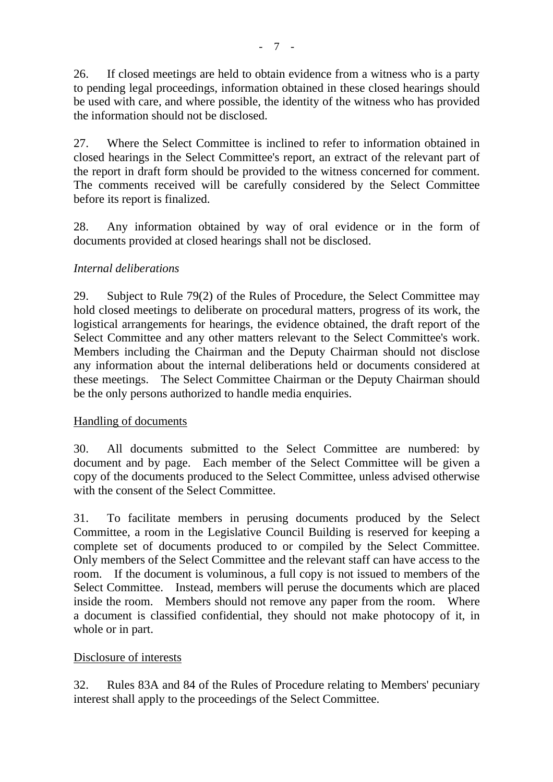26. If closed meetings are held to obtain evidence from a witness who is a party to pending legal proceedings, information obtained in these closed hearings should be used with care, and where possible, the identity of the witness who has provided the information should not be disclosed.

27. Where the Select Committee is inclined to refer to information obtained in closed hearings in the Select Committee's report, an extract of the relevant part of the report in draft form should be provided to the witness concerned for comment. The comments received will be carefully considered by the Select Committee before its report is finalized.

28. Any information obtained by way of oral evidence or in the form of documents provided at closed hearings shall not be disclosed.

# *Internal deliberations*

29. Subject to Rule 79(2) of the Rules of Procedure, the Select Committee may hold closed meetings to deliberate on procedural matters, progress of its work, the logistical arrangements for hearings, the evidence obtained, the draft report of the Select Committee and any other matters relevant to the Select Committee's work. Members including the Chairman and the Deputy Chairman should not disclose any information about the internal deliberations held or documents considered at these meetings. The Select Committee Chairman or the Deputy Chairman should be the only persons authorized to handle media enquiries.

# Handling of documents

30. All documents submitted to the Select Committee are numbered: by document and by page. Each member of the Select Committee will be given a copy of the documents produced to the Select Committee, unless advised otherwise with the consent of the Select Committee.

31. To facilitate members in perusing documents produced by the Select Committee, a room in the Legislative Council Building is reserved for keeping a complete set of documents produced to or compiled by the Select Committee. Only members of the Select Committee and the relevant staff can have access to the room. If the document is voluminous, a full copy is not issued to members of the Select Committee. Instead, members will peruse the documents which are placed inside the room. Members should not remove any paper from the room. Where a document is classified confidential, they should not make photocopy of it, in whole or in part.

# Disclosure of interests

32. Rules 83A and 84 of the Rules of Procedure relating to Members' pecuniary interest shall apply to the proceedings of the Select Committee.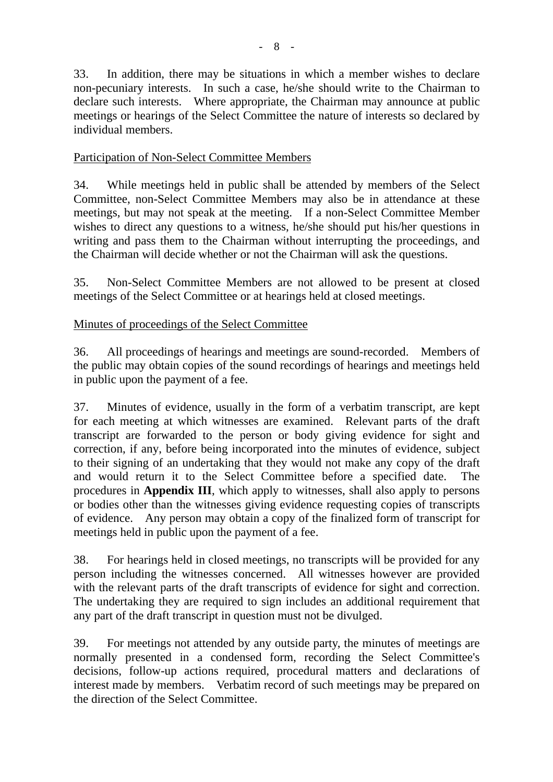33. In addition, there may be situations in which a member wishes to declare non-pecuniary interests. In such a case, he/she should write to the Chairman to declare such interests. Where appropriate, the Chairman may announce at public meetings or hearings of the Select Committee the nature of interests so declared by individual members.

# Participation of Non-Select Committee Members

34. While meetings held in public shall be attended by members of the Select Committee, non-Select Committee Members may also be in attendance at these meetings, but may not speak at the meeting. If a non-Select Committee Member wishes to direct any questions to a witness, he/she should put his/her questions in writing and pass them to the Chairman without interrupting the proceedings, and the Chairman will decide whether or not the Chairman will ask the questions.

35. Non-Select Committee Members are not allowed to be present at closed meetings of the Select Committee or at hearings held at closed meetings.

# Minutes of proceedings of the Select Committee

36. All proceedings of hearings and meetings are sound-recorded. Members of the public may obtain copies of the sound recordings of hearings and meetings held in public upon the payment of a fee.

37. Minutes of evidence, usually in the form of a verbatim transcript, are kept for each meeting at which witnesses are examined. Relevant parts of the draft transcript are forwarded to the person or body giving evidence for sight and correction, if any, before being incorporated into the minutes of evidence, subject to their signing of an undertaking that they would not make any copy of the draft and would return it to the Select Committee before a specified date. The procedures in **Appendix III**, which apply to witnesses, shall also apply to persons or bodies other than the witnesses giving evidence requesting copies of transcripts of evidence. Any person may obtain a copy of the finalized form of transcript for meetings held in public upon the payment of a fee.

38. For hearings held in closed meetings, no transcripts will be provided for any person including the witnesses concerned. All witnesses however are provided with the relevant parts of the draft transcripts of evidence for sight and correction. The undertaking they are required to sign includes an additional requirement that any part of the draft transcript in question must not be divulged.

39. For meetings not attended by any outside party, the minutes of meetings are normally presented in a condensed form, recording the Select Committee's decisions, follow-up actions required, procedural matters and declarations of interest made by members. Verbatim record of such meetings may be prepared on the direction of the Select Committee.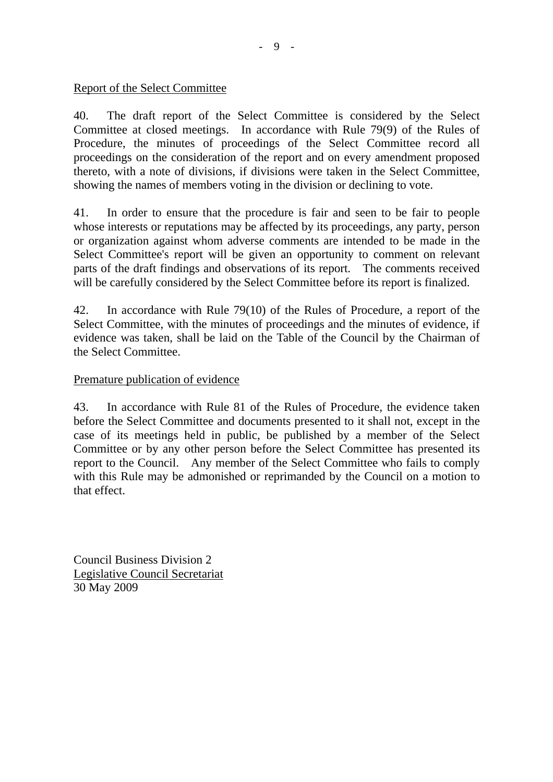Report of the Select Committee

40. The draft report of the Select Committee is considered by the Select Committee at closed meetings. In accordance with Rule 79(9) of the Rules of Procedure, the minutes of proceedings of the Select Committee record all proceedings on the consideration of the report and on every amendment proposed thereto, with a note of divisions, if divisions were taken in the Select Committee, showing the names of members voting in the division or declining to vote.

41. In order to ensure that the procedure is fair and seen to be fair to people whose interests or reputations may be affected by its proceedings, any party, person or organization against whom adverse comments are intended to be made in the Select Committee's report will be given an opportunity to comment on relevant parts of the draft findings and observations of its report. The comments received will be carefully considered by the Select Committee before its report is finalized.

42. In accordance with Rule 79(10) of the Rules of Procedure, a report of the Select Committee, with the minutes of proceedings and the minutes of evidence, if evidence was taken, shall be laid on the Table of the Council by the Chairman of the Select Committee.

#### Premature publication of evidence

43. In accordance with Rule 81 of the Rules of Procedure, the evidence taken before the Select Committee and documents presented to it shall not, except in the case of its meetings held in public, be published by a member of the Select Committee or by any other person before the Select Committee has presented its report to the Council. Any member of the Select Committee who fails to comply with this Rule may be admonished or reprimanded by the Council on a motion to that effect.

Council Business Division 2 Legislative Council Secretariat 30 May 2009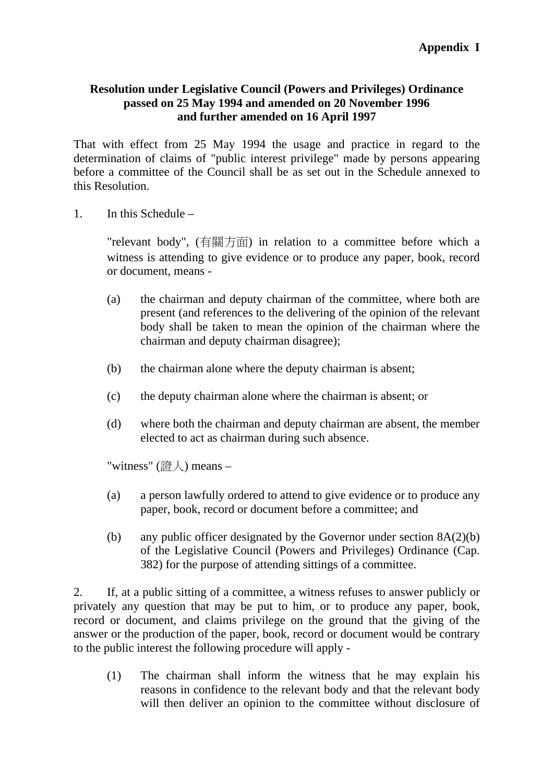#### **Resolution under Legislative Council (Powers and Privileges) Ordinance passed on 25 May 1994 and amended on 20 November 1996 and further amended on 16 April 1997**

That with effect from 25 May 1994 the usage and practice in regard to the determination of claims of "public interest privilege" made by persons appearing before a committee of the Council shall be as set out in the Schedule annexed to this Resolution.

1. In this Schedule –

"relevant body", (有關方面) in relation to a committee before which a witness is attending to give evidence or to produce any paper, book, record or document, means -

- (a) the chairman and deputy chairman of the committee, where both are present (and references to the delivering of the opinion of the relevant body shall be taken to mean the opinion of the chairman where the chairman and deputy chairman disagree);
- (b) the chairman alone where the deputy chairman is absent;
- (c) the deputy chairman alone where the chairman is absent; or
- (d) where both the chairman and deputy chairman are absent, the member elected to act as chairman during such absence.

"witness" (證人) means -

- (a) a person lawfully ordered to attend to give evidence or to produce any paper, book, record or document before a committee; and
- (b) any public officer designated by the Governor under section  $8A(2)(b)$ of the Legislative Council (Powers and Privileges) Ordinance (Cap. 382) for the purpose of attending sittings of a committee.

2. If, at a public sitting of a committee, a witness refuses to answer publicly or privately any question that may be put to him, or to produce any paper, book, record or document, and claims privilege on the ground that the giving of the answer or the production of the paper, book, record or document would be contrary to the public interest the following procedure will apply -

(1) The chairman shall inform the witness that he may explain his reasons in confidence to the relevant body and that the relevant body will then deliver an opinion to the committee without disclosure of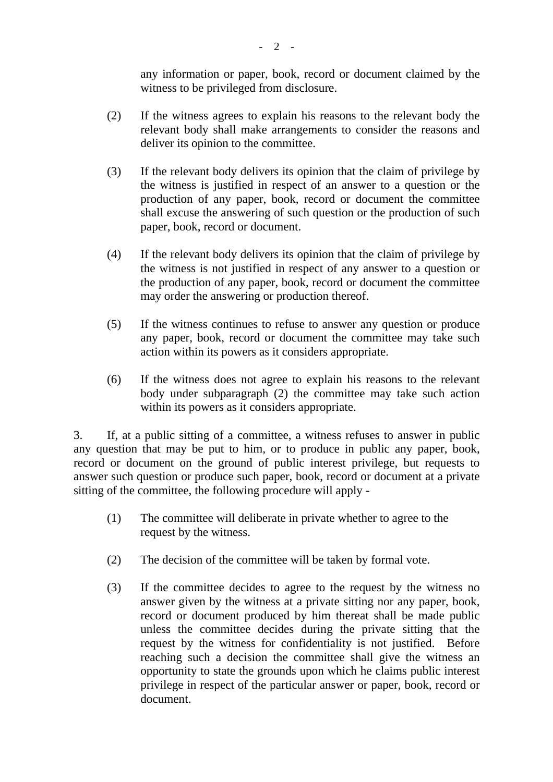any information or paper, book, record or document claimed by the witness to be privileged from disclosure.

- (2) If the witness agrees to explain his reasons to the relevant body the relevant body shall make arrangements to consider the reasons and deliver its opinion to the committee.
- (3) If the relevant body delivers its opinion that the claim of privilege by the witness is justified in respect of an answer to a question or the production of any paper, book, record or document the committee shall excuse the answering of such question or the production of such paper, book, record or document.
- (4) If the relevant body delivers its opinion that the claim of privilege by the witness is not justified in respect of any answer to a question or the production of any paper, book, record or document the committee may order the answering or production thereof.
- (5) If the witness continues to refuse to answer any question or produce any paper, book, record or document the committee may take such action within its powers as it considers appropriate.
- (6) If the witness does not agree to explain his reasons to the relevant body under subparagraph (2) the committee may take such action within its powers as it considers appropriate.

3. If, at a public sitting of a committee, a witness refuses to answer in public any question that may be put to him, or to produce in public any paper, book, record or document on the ground of public interest privilege, but requests to answer such question or produce such paper, book, record or document at a private sitting of the committee, the following procedure will apply -

- (1) The committee will deliberate in private whether to agree to the request by the witness.
- (2) The decision of the committee will be taken by formal vote.
- (3) If the committee decides to agree to the request by the witness no answer given by the witness at a private sitting nor any paper, book, record or document produced by him thereat shall be made public unless the committee decides during the private sitting that the request by the witness for confidentiality is not justified. Before reaching such a decision the committee shall give the witness an opportunity to state the grounds upon which he claims public interest privilege in respect of the particular answer or paper, book, record or document.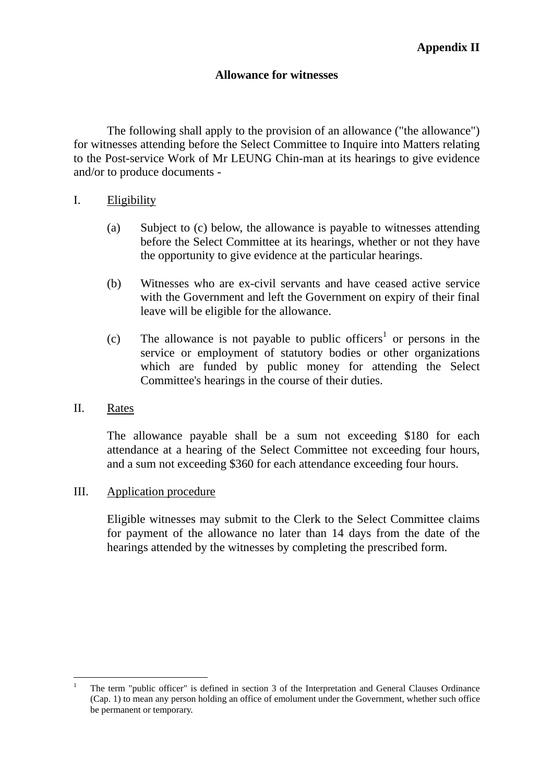#### **Allowance for witnesses**

 The following shall apply to the provision of an allowance ("the allowance") for witnesses attending before the Select Committee to Inquire into Matters relating to the Post-service Work of Mr LEUNG Chin-man at its hearings to give evidence and/or to produce documents -

#### I. Eligibility

- (a) Subject to (c) below, the allowance is payable to witnesses attending before the Select Committee at its hearings, whether or not they have the opportunity to give evidence at the particular hearings.
- (b) Witnesses who are ex-civil servants and have ceased active service with the Government and left the Government on expiry of their final leave will be eligible for the allowance.
- (c) The allowance is not payable to public officers<sup>1</sup> or persons in the service or employment of statutory bodies or other organizations which are funded by public money for attending the Select Committee's hearings in the course of their duties.

#### II. Rates

The allowance payable shall be a sum not exceeding \$180 for each attendance at a hearing of the Select Committee not exceeding four hours, and a sum not exceeding \$360 for each attendance exceeding four hours.

#### III. Application procedure

Eligible witnesses may submit to the Clerk to the Select Committee claims for payment of the allowance no later than 14 days from the date of the hearings attended by the witnesses by completing the prescribed form.

 $\overline{a}$ 1 The term "public officer" is defined in section 3 of the Interpretation and General Clauses Ordinance (Cap. 1) to mean any person holding an office of emolument under the Government, whether such office be permanent or temporary.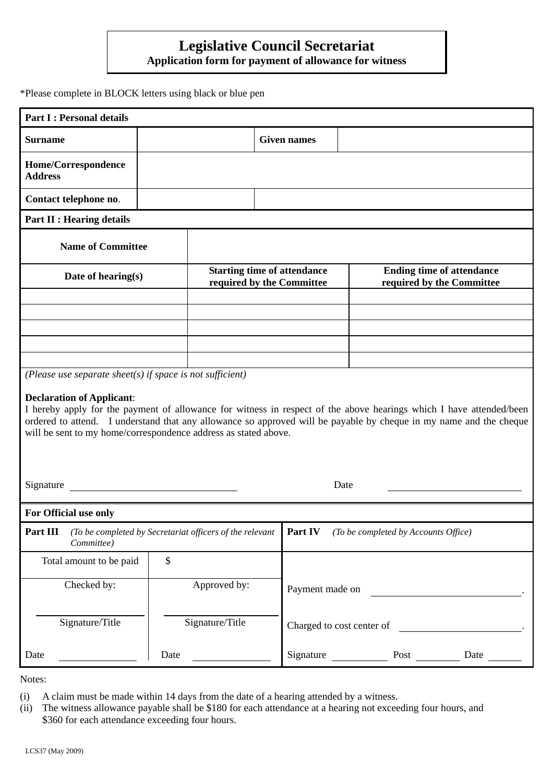# **Legislative Council Secretariat**

**Application form for payment of allowance for witness** 

\*Please complete in BLOCK letters using black or blue pen

| <b>Part I: Personal details</b>                                                                                                                                                                                                                                                                                                                  |      |                                                                 |                    |                                                               |                                                                                                                      |  |
|--------------------------------------------------------------------------------------------------------------------------------------------------------------------------------------------------------------------------------------------------------------------------------------------------------------------------------------------------|------|-----------------------------------------------------------------|--------------------|---------------------------------------------------------------|----------------------------------------------------------------------------------------------------------------------|--|
| <b>Surname</b>                                                                                                                                                                                                                                                                                                                                   |      |                                                                 | <b>Given names</b> |                                                               |                                                                                                                      |  |
| Home/Correspondence<br><b>Address</b>                                                                                                                                                                                                                                                                                                            |      |                                                                 |                    |                                                               |                                                                                                                      |  |
| Contact telephone no.                                                                                                                                                                                                                                                                                                                            |      |                                                                 |                    |                                                               |                                                                                                                      |  |
| <b>Part II : Hearing details</b>                                                                                                                                                                                                                                                                                                                 |      |                                                                 |                    |                                                               |                                                                                                                      |  |
| <b>Name of Committee</b>                                                                                                                                                                                                                                                                                                                         |      |                                                                 |                    |                                                               |                                                                                                                      |  |
| Date of hearing(s)                                                                                                                                                                                                                                                                                                                               |      | <b>Starting time of attendance</b><br>required by the Committee |                    | <b>Ending time of attendance</b><br>required by the Committee |                                                                                                                      |  |
|                                                                                                                                                                                                                                                                                                                                                  |      |                                                                 |                    |                                                               |                                                                                                                      |  |
|                                                                                                                                                                                                                                                                                                                                                  |      |                                                                 |                    |                                                               |                                                                                                                      |  |
|                                                                                                                                                                                                                                                                                                                                                  |      |                                                                 |                    |                                                               |                                                                                                                      |  |
| (Please use separate sheet(s) if space is not sufficient)                                                                                                                                                                                                                                                                                        |      |                                                                 |                    |                                                               |                                                                                                                      |  |
| <b>Declaration of Applicant:</b><br>I hereby apply for the payment of allowance for witness in respect of the above hearings which I have attended/been<br>ordered to attend. I understand that any allowance so approved will be payable by cheque in my name and the cheque<br>will be sent to my home/correspondence address as stated above. |      |                                                                 |                    |                                                               |                                                                                                                      |  |
| Signature                                                                                                                                                                                                                                                                                                                                        |      |                                                                 |                    | Date                                                          |                                                                                                                      |  |
| For Official use only                                                                                                                                                                                                                                                                                                                            |      |                                                                 |                    |                                                               |                                                                                                                      |  |
| Part III<br>(To be completed by Secretariat officers of the relevant<br>Committee)                                                                                                                                                                                                                                                               |      |                                                                 |                    | <b>Part IV</b> (To be completed by Accounts Office)           |                                                                                                                      |  |
| Total amount to be paid                                                                                                                                                                                                                                                                                                                          | \$   |                                                                 |                    |                                                               |                                                                                                                      |  |
| Checked by:                                                                                                                                                                                                                                                                                                                                      |      | Approved by:                                                    | Payment made on    |                                                               | <u> 1980 - Jan Barat, prima a popular popular popular popular popular popular popular popular popular popular po</u> |  |
| Signature/Title                                                                                                                                                                                                                                                                                                                                  |      | Signature/Title                                                 |                    | Charged to cost center of                                     |                                                                                                                      |  |
| Date                                                                                                                                                                                                                                                                                                                                             | Date |                                                                 | Signature          | Post $\qquad \qquad$                                          | Date                                                                                                                 |  |
|                                                                                                                                                                                                                                                                                                                                                  |      |                                                                 |                    |                                                               |                                                                                                                      |  |

Notes:

- (i) A claim must be made within 14 days from the date of a hearing attended by a witness.
- (ii) The witness allowance payable shall be \$180 for each attendance at a hearing not exceeding four hours, and \$360 for each attendance exceeding four hours.